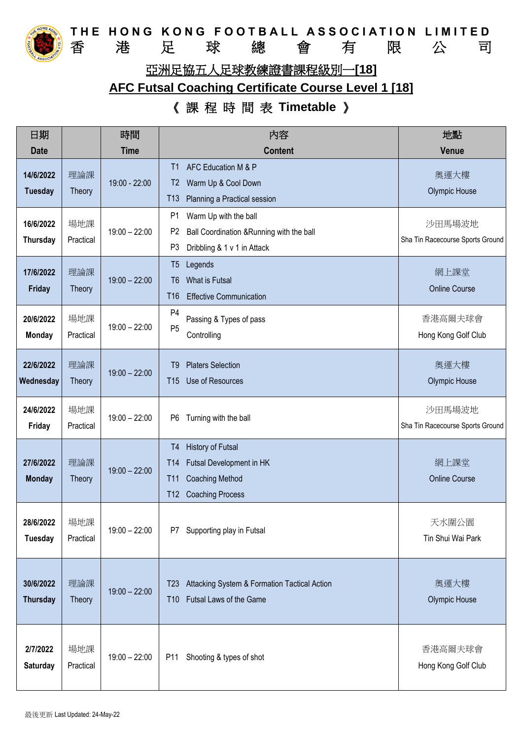

**THE HONG KONG FOOTBALL ASSOCIATION LIMITED**<br>香 港 足 球 總 會 有 限 公 司 香 港 足 球 總 會 有 限 公 司 亞洲足協五人足球教練證書課程級別一**[18]**

## **AFC Futsal Coaching Certificate Course Level 1 [18]**

## 《 課 程 時 間 表 **Timetable** 》

| 日期                           |                      | 時間              | 内容                                                                                                                                                             | 地點                                         |
|------------------------------|----------------------|-----------------|----------------------------------------------------------------------------------------------------------------------------------------------------------------|--------------------------------------------|
| <b>Date</b>                  |                      | <b>Time</b>     | <b>Content</b>                                                                                                                                                 | <b>Venue</b>                               |
| 14/6/2022<br><b>Tuesday</b>  | 理論課<br>Theory        | 19:00 - 22:00   | AFC Education M & P<br>T1<br>Warm Up & Cool Down<br>T <sub>2</sub><br>T13<br>Planning a Practical session                                                      | 奧運大樓<br><b>Olympic House</b>               |
| 16/6/2022<br>Thursday        | 場地課<br>Practical     | $19:00 - 22:00$ | P <sub>1</sub><br>Warm Up with the ball<br>P <sub>2</sub><br>Ball Coordination & Running with the ball<br>P <sub>3</sub><br>Dribbling & 1 v 1 in Attack        | 沙田馬場波地<br>Sha Tin Racecourse Sports Ground |
| 17/6/2022<br>Friday          | 理論課<br>Theory        | $19:00 - 22:00$ | Legends<br>T5<br>What is Futsal<br>T6<br>T <sub>16</sub><br><b>Effective Communication</b>                                                                     | 網上課堂<br><b>Online Course</b>               |
| 20/6/2022<br><b>Monday</b>   | 場地課<br>Practical     | $19:00 - 22:00$ | P <sub>4</sub><br>Passing & Types of pass<br>P <sub>5</sub><br>Controlling                                                                                     | 香港高爾夫球會<br>Hong Kong Golf Club             |
| 22/6/2022<br>Wednesday       | 理論課<br>Theory        | $19:00 - 22:00$ | <b>Platers Selection</b><br>T9<br>Use of Resources<br>T <sub>15</sub>                                                                                          | 奧運大樓<br>Olympic House                      |
| 24/6/2022<br>Friday          | 場地課<br>Practical     | $19:00 - 22:00$ | Turning with the ball<br>P <sub>6</sub>                                                                                                                        | 沙田馬場波地<br>Sha Tin Racecourse Sports Ground |
| 27/6/2022<br><b>Monday</b>   | 理論課<br><b>Theory</b> | $19:00 - 22:00$ | <b>History of Futsal</b><br>T4<br>Futsal Development in HK<br>T <sub>14</sub><br><b>Coaching Method</b><br><b>T11</b><br><b>Coaching Process</b><br><b>T12</b> | 網上課堂<br><b>Online Course</b>               |
| 28/6/2022<br><b>Tuesday</b>  | 場地課<br>Practical     | $19:00 - 22:00$ | Supporting play in Futsal<br>P7                                                                                                                                | 天水圍公園<br>Tin Shui Wai Park                 |
| 30/6/2022<br><b>Thursday</b> | 理論課<br>Theory        | $19:00 - 22:00$ | Attacking System & Formation Tactical Action<br>T <sub>23</sub><br>Futsal Laws of the Game<br><b>T10</b>                                                       | 奧運大樓<br>Olympic House                      |
| 2/7/2022<br><b>Saturday</b>  | 場地課<br>Practical     | $19:00 - 22:00$ | Shooting & types of shot<br>P11                                                                                                                                | 香港高爾夫球會<br>Hong Kong Golf Club             |